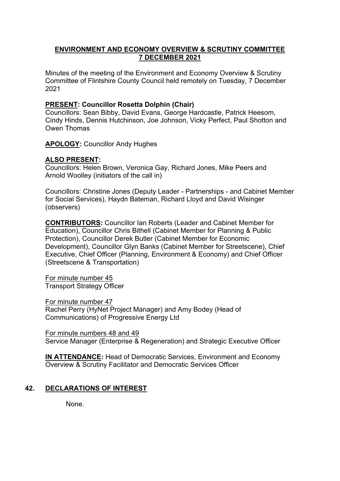## **ENVIRONMENT AND ECONOMY OVERVIEW & SCRUTINY COMMITTEE 7 DECEMBER 2021**

Minutes of the meeting of the Environment and Economy Overview & Scrutiny Committee of Flintshire County Council held remotely on Tuesday, 7 December 2021

### **PRESENT: Councillor Rosetta Dolphin (Chair)**

Councillors: Sean Bibby, David Evans, George Hardcastle, Patrick Heesom, Cindy Hinds, Dennis Hutchinson, Joe Johnson, Vicky Perfect, Paul Shotton and Owen Thomas

**APOLOGY:** Councillor Andy Hughes

### **ALSO PRESENT:**

Councillors: Helen Brown, Veronica Gay, Richard Jones, Mike Peers and Arnold Woolley (initiators of the call in)

Councillors: Christine Jones (Deputy Leader - Partnerships - and Cabinet Member for Social Services), Haydn Bateman, Richard Lloyd and David Wisinger (observers)

**CONTRIBUTORS:** Councillor Ian Roberts (Leader and Cabinet Member for Education), Councillor Chris Bithell (Cabinet Member for Planning & Public Protection), Councillor Derek Butler (Cabinet Member for Economic Development), Councillor Glyn Banks (Cabinet Member for Streetscene), Chief Executive, Chief Officer (Planning, Environment & Economy) and Chief Officer (Streetscene & Transportation)

For minute number 45 Transport Strategy Officer

For minute number 47 Rachel Perry (HyNet Project Manager) and Amy Bodey (Head of Communications) of Progressive Energy Ltd

For minute numbers 48 and 49 Service Manager (Enterprise & Regeneration) and Strategic Executive Officer

**IN ATTENDANCE:** Head of Democratic Services, Environment and Economy Overview & Scrutiny Facilitator and Democratic Services Officer

# **42. DECLARATIONS OF INTEREST**

None.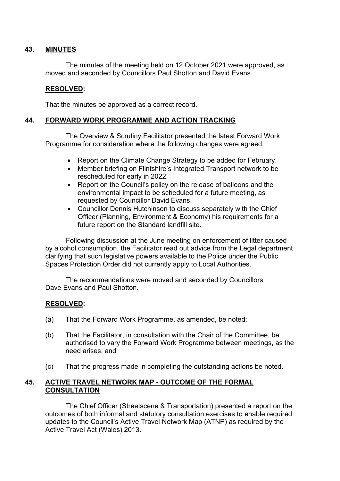### **43. MINUTES**

The minutes of the meeting held on 12 October 2021 were approved, as moved and seconded by Councillors Paul Shotton and David Evans.

## **RESOLVED:**

That the minutes be approved as a correct record.

## **44. FORWARD WORK PROGRAMME AND ACTION TRACKING**

The Overview & Scrutiny Facilitator presented the latest Forward Work Programme for consideration where the following changes were agreed:

- Report on the Climate Change Strategy to be added for February.
- Member briefing on Flintshire's Integrated Transport network to be rescheduled for early in 2022.
- Report on the Council's policy on the release of balloons and the environmental impact to be scheduled for a future meeting, as requested by Councillor David Evans.
- Councillor Dennis Hutchinson to discuss separately with the Chief Officer (Planning, Environment & Economy) his requirements for a future report on the Standard landfill site.

Following discussion at the June meeting on enforcement of litter caused by alcohol consumption, the Facilitator read out advice from the Legal department clarifying that such legislative powers available to the Police under the Public Spaces Protection Order did not currently apply to Local Authorities.

The recommendations were moved and seconded by Councillors Dave Evans and Paul Shotton.

### **RESOLVED:**

- (a) That the Forward Work Programme, as amended, be noted;
- (b) That the Facilitator, in consultation with the Chair of the Committee, be authorised to vary the Forward Work Programme between meetings, as the need arises; and
- (c) That the progress made in completing the outstanding actions be noted.

### **45. ACTIVE TRAVEL NETWORK MAP - OUTCOME OF THE FORMAL CONSULTATION**

The Chief Officer (Streetscene & Transportation) presented a report on the outcomes of both informal and statutory consultation exercises to enable required updates to the Council's Active Travel Network Map (ATNP) as required by the Active Travel Act (Wales) 2013.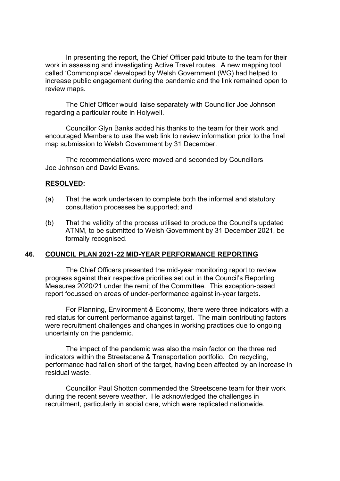In presenting the report, the Chief Officer paid tribute to the team for their work in assessing and investigating Active Travel routes. A new mapping tool called 'Commonplace' developed by Welsh Government (WG) had helped to increase public engagement during the pandemic and the link remained open to review maps.

The Chief Officer would liaise separately with Councillor Joe Johnson regarding a particular route in Holywell.

Councillor Glyn Banks added his thanks to the team for their work and encouraged Members to use the web link to review information prior to the final map submission to Welsh Government by 31 December.

The recommendations were moved and seconded by Councillors Joe Johnson and David Evans.

### **RESOLVED:**

- (a) That the work undertaken to complete both the informal and statutory consultation processes be supported; and
- (b) That the validity of the process utilised to produce the Council's updated ATNM, to be submitted to Welsh Government by 31 December 2021, be formally recognised.

#### **46. COUNCIL PLAN 2021-22 MID-YEAR PERFORMANCE REPORTING**

The Chief Officers presented the mid-year monitoring report to review progress against their respective priorities set out in the Council's Reporting Measures 2020/21 under the remit of the Committee. This exception-based report focussed on areas of under-performance against in-year targets.

For Planning, Environment & Economy, there were three indicators with a red status for current performance against target. The main contributing factors were recruitment challenges and changes in working practices due to ongoing uncertainty on the pandemic.

The impact of the pandemic was also the main factor on the three red indicators within the Streetscene & Transportation portfolio. On recycling, performance had fallen short of the target, having been affected by an increase in residual waste.

Councillor Paul Shotton commended the Streetscene team for their work during the recent severe weather. He acknowledged the challenges in recruitment, particularly in social care, which were replicated nationwide.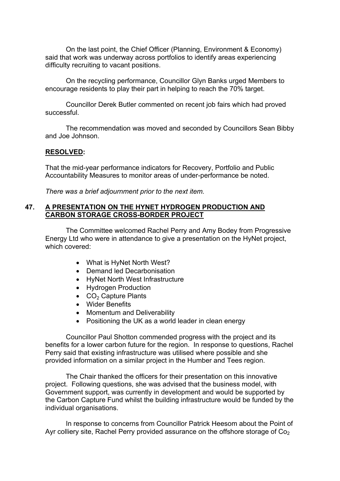On the last point, the Chief Officer (Planning, Environment & Economy) said that work was underway across portfolios to identify areas experiencing difficulty recruiting to vacant positions.

On the recycling performance, Councillor Glyn Banks urged Members to encourage residents to play their part in helping to reach the 70% target.

Councillor Derek Butler commented on recent job fairs which had proved successful.

The recommendation was moved and seconded by Councillors Sean Bibby and Joe Johnson.

#### **RESOLVED:**

That the mid-year performance indicators for Recovery, Portfolio and Public Accountability Measures to monitor areas of under-performance be noted.

*There was a brief adjournment prior to the next item.*

### **47. A PRESENTATION ON THE HYNET HYDROGEN PRODUCTION AND CARBON STORAGE CROSS-BORDER PROJECT**

The Committee welcomed Rachel Perry and Amy Bodey from Progressive Energy Ltd who were in attendance to give a presentation on the HyNet project, which covered:

- What is HyNet North West?
- Demand led Decarbonisation
- HyNet North West Infrastructure
- Hydrogen Production
- $\bullet$  CO<sub>2</sub> Capture Plants
- Wider Benefits
- Momentum and Deliverability
- Positioning the UK as a world leader in clean energy

Councillor Paul Shotton commended progress with the project and its benefits for a lower carbon future for the region. In response to questions, Rachel Perry said that existing infrastructure was utilised where possible and she provided information on a similar project in the Humber and Tees region.

The Chair thanked the officers for their presentation on this innovative project. Following questions, she was advised that the business model, with Government support, was currently in development and would be supported by the Carbon Capture Fund whilst the building infrastructure would be funded by the individual organisations.

In response to concerns from Councillor Patrick Heesom about the Point of Ayr colliery site, Rachel Perry provided assurance on the offshore storage of  $Co<sub>2</sub>$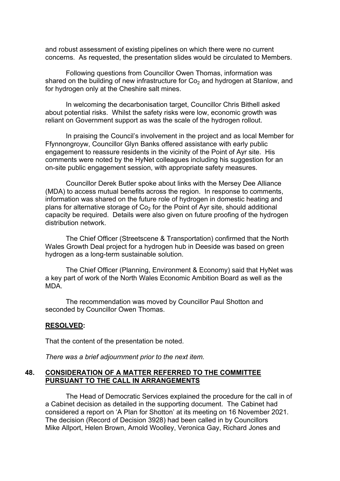and robust assessment of existing pipelines on which there were no current concerns. As requested, the presentation slides would be circulated to Members.

Following questions from Councillor Owen Thomas, information was shared on the building of new infrastructure for  $Co<sub>2</sub>$  and hydrogen at Stanlow, and for hydrogen only at the Cheshire salt mines.

In welcoming the decarbonisation target, Councillor Chris Bithell asked about potential risks. Whilst the safety risks were low, economic growth was reliant on Government support as was the scale of the hydrogen rollout.

In praising the Council's involvement in the project and as local Member for Ffynnongroyw, Councillor Glyn Banks offered assistance with early public engagement to reassure residents in the vicinity of the Point of Ayr site. His comments were noted by the HyNet colleagues including his suggestion for an on-site public engagement session, with appropriate safety measures.

Councillor Derek Butler spoke about links with the Mersey Dee Alliance (MDA) to access mutual benefits across the region. In response to comments, information was shared on the future role of hydrogen in domestic heating and plans for alternative storage of  $Co<sub>2</sub>$  for the Point of Ayr site, should additional capacity be required. Details were also given on future proofing of the hydrogen distribution network.

The Chief Officer (Streetscene & Transportation) confirmed that the North Wales Growth Deal project for a hydrogen hub in Deeside was based on green hydrogen as a long-term sustainable solution.

The Chief Officer (Planning, Environment & Economy) said that HyNet was a key part of work of the North Wales Economic Ambition Board as well as the MDA.

The recommendation was moved by Councillor Paul Shotton and seconded by Councillor Owen Thomas.

#### **RESOLVED:**

That the content of the presentation be noted.

*There was a brief adjournment prior to the next item.*

## **48. CONSIDERATION OF A MATTER REFERRED TO THE COMMITTEE PURSUANT TO THE CALL IN ARRANGEMENTS**

The Head of Democratic Services explained the procedure for the call in of a Cabinet decision as detailed in the supporting document. The Cabinet had considered a report on 'A Plan for Shotton' at its meeting on 16 November 2021. The decision (Record of Decision 3928) had been called in by Councillors Mike Allport, Helen Brown, Arnold Woolley, Veronica Gay, Richard Jones and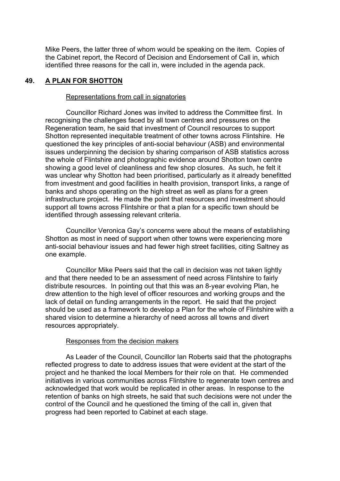Mike Peers, the latter three of whom would be speaking on the item. Copies of the Cabinet report, the Record of Decision and Endorsement of Call in, which identified three reasons for the call in, were included in the agenda pack.

#### **49. A PLAN FOR SHOTTON**

#### Representations from call in signatories

Councillor Richard Jones was invited to address the Committee first. In recognising the challenges faced by all town centres and pressures on the Regeneration team, he said that investment of Council resources to support Shotton represented inequitable treatment of other towns across Flintshire. He questioned the key principles of anti-social behaviour (ASB) and environmental issues underpinning the decision by sharing comparison of ASB statistics across the whole of Flintshire and photographic evidence around Shotton town centre showing a good level of cleanliness and few shop closures. As such, he felt it was unclear why Shotton had been prioritised, particularly as it already benefitted from investment and good facilities in health provision, transport links, a range of banks and shops operating on the high street as well as plans for a green infrastructure project. He made the point that resources and investment should support all towns across Flintshire or that a plan for a specific town should be identified through assessing relevant criteria.

Councillor Veronica Gay's concerns were about the means of establishing Shotton as most in need of support when other towns were experiencing more anti-social behaviour issues and had fewer high street facilities, citing Saltney as one example.

Councillor Mike Peers said that the call in decision was not taken lightly and that there needed to be an assessment of need across Flintshire to fairly distribute resources. In pointing out that this was an 8-year evolving Plan, he drew attention to the high level of officer resources and working groups and the lack of detail on funding arrangements in the report. He said that the project should be used as a framework to develop a Plan for the whole of Flintshire with a shared vision to determine a hierarchy of need across all towns and divert resources appropriately.

### Responses from the decision makers

As Leader of the Council, Councillor Ian Roberts said that the photographs reflected progress to date to address issues that were evident at the start of the project and he thanked the local Members for their role on that. He commended initiatives in various communities across Flintshire to regenerate town centres and acknowledged that work would be replicated in other areas. In response to the retention of banks on high streets, he said that such decisions were not under the control of the Council and he questioned the timing of the call in, given that progress had been reported to Cabinet at each stage.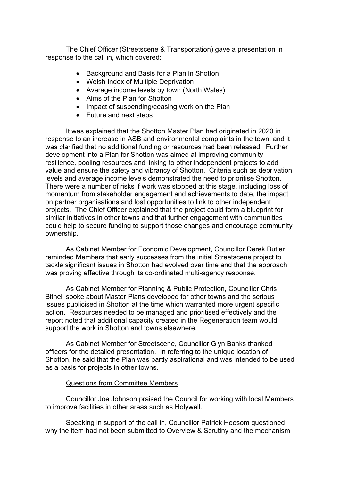The Chief Officer (Streetscene & Transportation) gave a presentation in response to the call in, which covered:

- Background and Basis for a Plan in Shotton
- Welsh Index of Multiple Deprivation
- Average income levels by town (North Wales)
- Aims of the Plan for Shotton
- Impact of suspending/ceasing work on the Plan
- Future and next steps

It was explained that the Shotton Master Plan had originated in 2020 in response to an increase in ASB and environmental complaints in the town, and it was clarified that no additional funding or resources had been released. Further development into a Plan for Shotton was aimed at improving community resilience, pooling resources and linking to other independent projects to add value and ensure the safety and vibrancy of Shotton. Criteria such as deprivation levels and average income levels demonstrated the need to prioritise Shotton. There were a number of risks if work was stopped at this stage, including loss of momentum from stakeholder engagement and achievements to date, the impact on partner organisations and lost opportunities to link to other independent projects. The Chief Officer explained that the project could form a blueprint for similar initiatives in other towns and that further engagement with communities could help to secure funding to support those changes and encourage community ownership.

As Cabinet Member for Economic Development, Councillor Derek Butler reminded Members that early successes from the initial Streetscene project to tackle significant issues in Shotton had evolved over time and that the approach was proving effective through its co-ordinated multi-agency response.

As Cabinet Member for Planning & Public Protection, Councillor Chris Bithell spoke about Master Plans developed for other towns and the serious issues publicised in Shotton at the time which warranted more urgent specific action. Resources needed to be managed and prioritised effectively and the report noted that additional capacity created in the Regeneration team would support the work in Shotton and towns elsewhere.

As Cabinet Member for Streetscene, Councillor Glyn Banks thanked officers for the detailed presentation. In referring to the unique location of Shotton, he said that the Plan was partly aspirational and was intended to be used as a basis for projects in other towns.

#### Questions from Committee Members

Councillor Joe Johnson praised the Council for working with local Members to improve facilities in other areas such as Holywell.

Speaking in support of the call in, Councillor Patrick Heesom questioned why the item had not been submitted to Overview & Scrutiny and the mechanism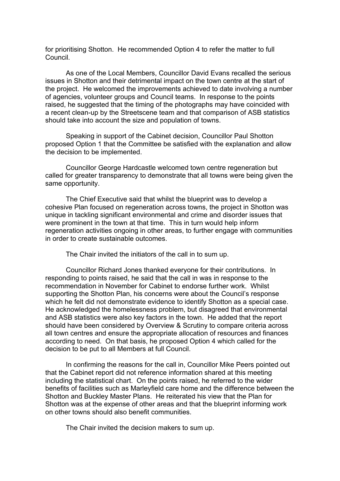for prioritising Shotton. He recommended Option 4 to refer the matter to full Council.

As one of the Local Members, Councillor David Evans recalled the serious issues in Shotton and their detrimental impact on the town centre at the start of the project. He welcomed the improvements achieved to date involving a number of agencies, volunteer groups and Council teams. In response to the points raised, he suggested that the timing of the photographs may have coincided with a recent clean-up by the Streetscene team and that comparison of ASB statistics should take into account the size and population of towns.

Speaking in support of the Cabinet decision, Councillor Paul Shotton proposed Option 1 that the Committee be satisfied with the explanation and allow the decision to be implemented.

Councillor George Hardcastle welcomed town centre regeneration but called for greater transparency to demonstrate that all towns were being given the same opportunity.

The Chief Executive said that whilst the blueprint was to develop a cohesive Plan focused on regeneration across towns, the project in Shotton was unique in tackling significant environmental and crime and disorder issues that were prominent in the town at that time. This in turn would help inform regeneration activities ongoing in other areas, to further engage with communities in order to create sustainable outcomes.

The Chair invited the initiators of the call in to sum up.

Councillor Richard Jones thanked everyone for their contributions. In responding to points raised, he said that the call in was in response to the recommendation in November for Cabinet to endorse further work. Whilst supporting the Shotton Plan, his concerns were about the Council's response which he felt did not demonstrate evidence to identify Shotton as a special case. He acknowledged the homelessness problem, but disagreed that environmental and ASB statistics were also key factors in the town. He added that the report should have been considered by Overview & Scrutiny to compare criteria across all town centres and ensure the appropriate allocation of resources and finances according to need. On that basis, he proposed Option 4 which called for the decision to be put to all Members at full Council.

In confirming the reasons for the call in, Councillor Mike Peers pointed out that the Cabinet report did not reference information shared at this meeting including the statistical chart. On the points raised, he referred to the wider benefits of facilities such as Marleyfield care home and the difference between the Shotton and Buckley Master Plans. He reiterated his view that the Plan for Shotton was at the expense of other areas and that the blueprint informing work on other towns should also benefit communities.

The Chair invited the decision makers to sum up.